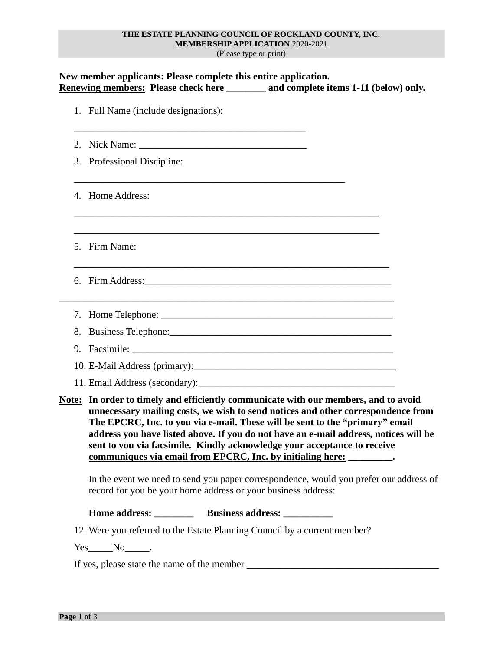## **THE ESTATE PLANNING COUNCIL OF ROCKLAND COUNTY, INC. MEMBERSHIP APPLICATION** 2020-2021

(Please type or print)

|  | New member applicants: Please complete this entire application.<br>Renewing members: Please check here _______ and complete items 1-11 (below) only.                                                                                                                                                                                                                                                                                                                                                 |  |  |  |
|--|------------------------------------------------------------------------------------------------------------------------------------------------------------------------------------------------------------------------------------------------------------------------------------------------------------------------------------------------------------------------------------------------------------------------------------------------------------------------------------------------------|--|--|--|
|  | 1. Full Name (include designations):                                                                                                                                                                                                                                                                                                                                                                                                                                                                 |  |  |  |
|  |                                                                                                                                                                                                                                                                                                                                                                                                                                                                                                      |  |  |  |
|  | 3. Professional Discipline:                                                                                                                                                                                                                                                                                                                                                                                                                                                                          |  |  |  |
|  | 4. Home Address:                                                                                                                                                                                                                                                                                                                                                                                                                                                                                     |  |  |  |
|  | 5. Firm Name:                                                                                                                                                                                                                                                                                                                                                                                                                                                                                        |  |  |  |
|  | 6. Firm Address: 2008. 2009. 2009. 2009. 2010. 2010. 2010. 2010. 2010. 2010. 2010. 2010. 2010. 2010. 2010. 201                                                                                                                                                                                                                                                                                                                                                                                       |  |  |  |
|  |                                                                                                                                                                                                                                                                                                                                                                                                                                                                                                      |  |  |  |
|  |                                                                                                                                                                                                                                                                                                                                                                                                                                                                                                      |  |  |  |
|  |                                                                                                                                                                                                                                                                                                                                                                                                                                                                                                      |  |  |  |
|  |                                                                                                                                                                                                                                                                                                                                                                                                                                                                                                      |  |  |  |
|  |                                                                                                                                                                                                                                                                                                                                                                                                                                                                                                      |  |  |  |
|  | Note: In order to timely and efficiently communicate with our members, and to avoid<br>unnecessary mailing costs, we wish to send notices and other correspondence from<br>The EPCRC, Inc. to you via e-mail. These will be sent to the "primary" email<br>address you have listed above. If you do not have an e-mail address, notices will be<br>sent to you via facsimile. Kindly acknowledge your acceptance to receive<br>communiques via email from EPCRC, Inc. by initialing here: _________. |  |  |  |
|  | In the event we need to send you paper correspondence, would you prefer our address of<br>record for you be your home address or your business address:                                                                                                                                                                                                                                                                                                                                              |  |  |  |
|  |                                                                                                                                                                                                                                                                                                                                                                                                                                                                                                      |  |  |  |
|  | 12. Were you referred to the Estate Planning Council by a current member?                                                                                                                                                                                                                                                                                                                                                                                                                            |  |  |  |
|  | $Yes$ No $\_\_$ .                                                                                                                                                                                                                                                                                                                                                                                                                                                                                    |  |  |  |
|  |                                                                                                                                                                                                                                                                                                                                                                                                                                                                                                      |  |  |  |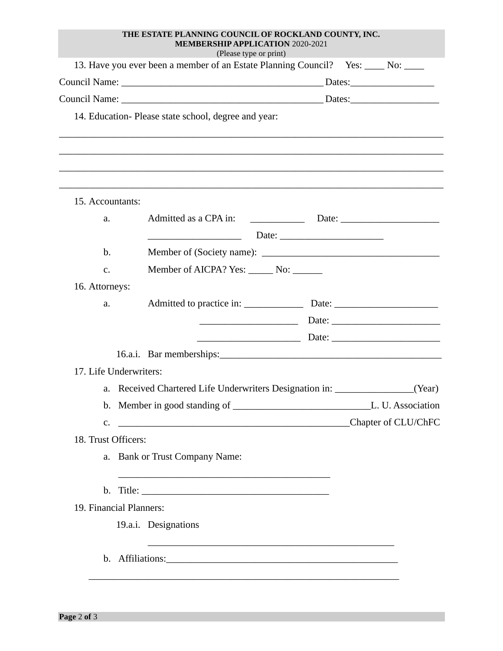|                         | THE ESTATE PLANNING COUNCIL OF ROCKLAND COUNTY, INC.<br><b>MEMBERSHIP APPLICATION 2020-2021</b><br>(Please type or print) |  |
|-------------------------|---------------------------------------------------------------------------------------------------------------------------|--|
|                         | 13. Have you ever been a member of an Estate Planning Council? Yes: ____ No: ____                                         |  |
|                         |                                                                                                                           |  |
|                         |                                                                                                                           |  |
|                         | 14. Education-Please state school, degree and year:                                                                       |  |
| 15. Accountants:        |                                                                                                                           |  |
| a.                      |                                                                                                                           |  |
|                         |                                                                                                                           |  |
| $\mathbf{b}$ .          |                                                                                                                           |  |
| $C_{\star}$             | Member of AICPA? Yes: No: ________                                                                                        |  |
| 16. Attorneys:          |                                                                                                                           |  |
| a.                      |                                                                                                                           |  |
|                         |                                                                                                                           |  |
|                         |                                                                                                                           |  |
|                         | 16.a.i. Bar memberships:                                                                                                  |  |
| 17. Life Underwriters:  |                                                                                                                           |  |
|                         | a. Received Chartered Life Underwriters Designation in: ________________(Year)                                            |  |
|                         |                                                                                                                           |  |
|                         |                                                                                                                           |  |
| 18. Trust Officers:     |                                                                                                                           |  |
|                         | a. Bank or Trust Company Name:                                                                                            |  |
|                         |                                                                                                                           |  |
| 19. Financial Planners: |                                                                                                                           |  |
|                         | 19.a.i. Designations                                                                                                      |  |
|                         | and the control of the control of the control of the control of the control of the control of the control of the          |  |